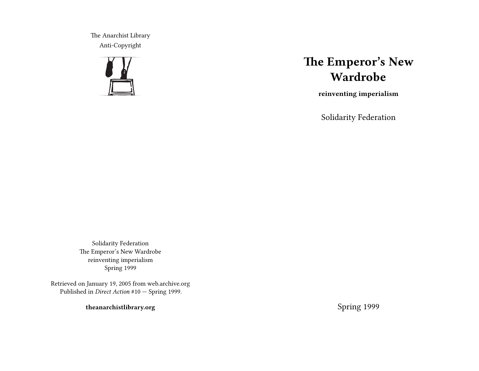The Anarchist Library Anti-Copyright



# **The Emperor's New Wardrobe**

**reinventing imperialism**

Solidarity Federation

Solidarity Federation The Emperor's New Wardrobe reinventing imperialism Spring 1999

Retrieved on January 19, 2005 from web.archive.org Published in *Direct Action* #10 — Spring 1999.

**theanarchistlibrary.org**

Spring 1999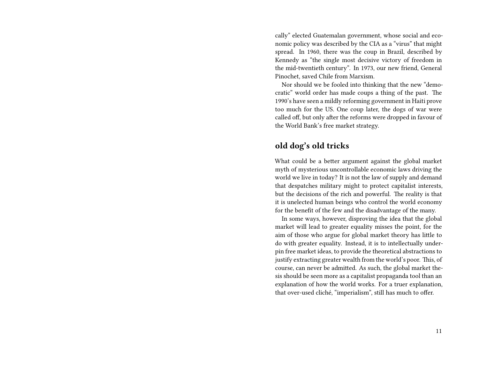cally" elected Guatemalan government, whose social and economic policy was described by the CIA as a "virus" that might spread. In 1960, there was the coup in Brazil, described by Kennedy as "the single most decisive victory of freedom in the mid-twentieth century". In 1973, our new friend, General Pinochet, saved Chile from Marxism.

Nor should we be fooled into thinking that the new "democratic" world order has made coups a thing of the past. The 1990's have seen a mildly reforming government in Haiti prove too much for the US. One coup later, the dogs of war were called off, but only after the reforms were dropped in favour of the World Bank's free market strategy.

#### **old dog's old tricks**

What could be a better argument against the global market myth of mysterious uncontrollable economic laws driving the world we live in today? It is not the law of supply and demand that despatches military might to protect capitalist interests, but the decisions of the rich and powerful. The reality is that it is unelected human beings who control the world economy for the benefit of the few and the disadvantage of the many.

In some ways, however, disproving the idea that the global market will lead to greater equality misses the point, for the aim of those who argue for global market theory has little to do with greater equality. Instead, it is to intellectually underpin free market ideas, to provide the theoretical abstractions to justify extracting greater wealth from the world's poor. This, of course, can never be admitted. As such, the global market thesis should be seen more as a capitalist propaganda tool than an explanation of how the world works. For a truer explanation, that over-used cliché, "imperialism", still has much to offer.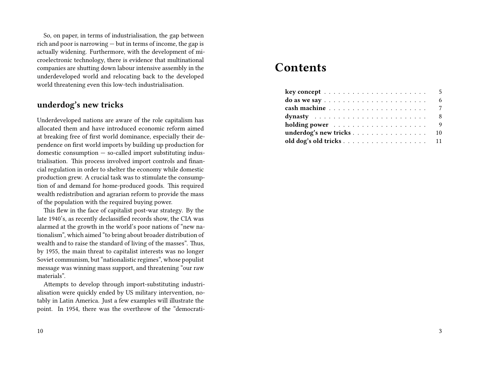So, on paper, in terms of industrialisation, the gap between rich and poor is narrowing — but in terms of income, the gap is actually widening. Furthermore, with the development of microelectronic technology, there is evidence that multinational companies are shutting down labour intensive assembly in the underdeveloped world and relocating back to the developed world threatening even this low-tech industrialisation.

### **underdog's new tricks**

Underdeveloped nations are aware of the role capitalism has allocated them and have introduced economic reform aimed at breaking free of first world dominance, especially their dependence on first world imports by building up production for domestic consumption — so-called import substituting industrialisation. This process involved import controls and financial regulation in order to shelter the economy while domestic production grew. A crucial task was to stimulate the consumption of and demand for home-produced goods. This required wealth redistribution and agrarian reform to provide the mass of the population with the required buying power.

This flew in the face of capitalist post-war strategy. By the late 1940's, as recently declassified records show, the CIA was alarmed at the growth in the world's poor nations of "new nationalism", which aimed "to bring about broader distribution of wealth and to raise the standard of living of the masses". Thus, by 1955, the main threat to capitalist interests was no longer Soviet communism, but "nationalistic regimes", whose populist message was winning mass support, and threatening "our raw materials".

Attempts to develop through import-substituting industrialisation were quickly ended by US military intervention, notably in Latin America. Just a few examples will illustrate the point. In 1954, there was the overthrow of the "democrati-

# **Contents**

| $key concept \ldots \ldots \ldots \ldots \ldots \ldots \ldots$ | 5 |
|----------------------------------------------------------------|---|
|                                                                | 6 |
|                                                                | 7 |
| dynasty $\ldots \ldots \ldots \ldots \ldots \ldots \ldots$     | 8 |
|                                                                | 9 |
| underdog's new tricks 10                                       |   |
|                                                                |   |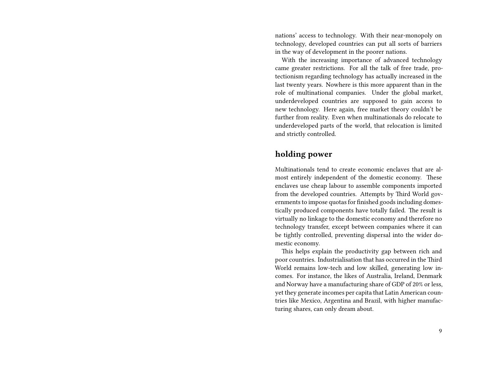nations' access to technology. With their near-monopoly on technology, developed countries can put all sorts of barriers in the way of development in the poorer nations.

With the increasing importance of advanced technology came greater restrictions. For all the talk of free trade, protectionism regarding technology has actually increased in the last twenty years. Nowhere is this more apparent than in the role of multinational companies. Under the global market, underdeveloped countries are supposed to gain access to new technology. Here again, free market theory couldn't be further from reality. Even when multinationals do relocate to underdeveloped parts of the world, that relocation is limited and strictly controlled.

#### **holding power**

Multinationals tend to create economic enclaves that are almost entirely independent of the domestic economy. These enclaves use cheap labour to assemble components imported from the developed countries. Attempts by Third World governments to impose quotas for finished goods including domestically produced components have totally failed. The result is virtually no linkage to the domestic economy and therefore no technology transfer, except between companies where it can be tightly controlled, preventing dispersal into the wider domestic economy.

This helps explain the productivity gap between rich and poor countries. Industrialisation that has occurred in the Third World remains low-tech and low skilled, generating low incomes. For instance, the likes of Australia, Ireland, Denmark and Norway have a manufacturing share of GDP of 20% or less, yet they generate incomes per capita that Latin American countries like Mexico, Argentina and Brazil, with higher manufacturing shares, can only dream about.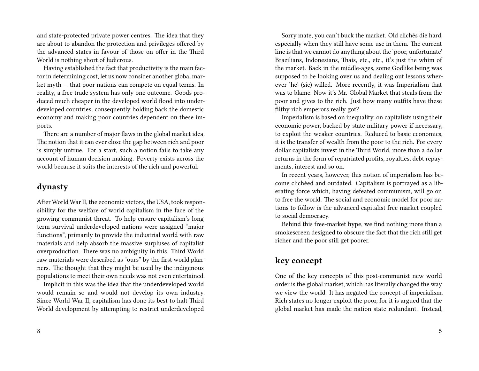and state-protected private power centres. The idea that they are about to abandon the protection and privileges offered by the advanced states in favour of those on offer in the Third World is nothing short of ludicrous.

Having established the fact that productivity is the main factor in determining cost, let us now consider another global market myth — that poor nations can compete on equal terms. In reality, a free trade system has only one outcome. Goods produced much cheaper in the developed world flood into underdeveloped countries, consequently holding back the domestic economy and making poor countries dependent on these imports.

There are a number of major flaws in the global market idea. The notion that it can ever close the gap between rich and poor is simply untrue. For a start, such a notion fails to take any account of human decision making. Poverty exists across the world because it suits the interests of the rich and powerful.

#### **dynasty**

After World War II, the economic victors, the USA, took responsibility for the welfare of world capitalism in the face of the growing communist threat. To help ensure capitalism's long term survival underdeveloped nations were assigned "major functions", primarily to provide the industrial world with raw materials and help absorb the massive surpluses of capitalist overproduction. There was no ambiguity in this. Third World raw materials were described as "ours" by the first world planners. The thought that they might be used by the indigenous populations to meet their own needs was not even entertained.

Implicit in this was the idea that the underdeveloped world would remain so and would not develop its own industry. Since World War II, capitalism has done its best to halt Third World development by attempting to restrict underdeveloped

Sorry mate, you can't buck the market. Old clichés die hard, especially when they still have some use in them. The current line is that we cannot do anything about the 'poor, unfortunate' Brazilians, Indonesians, Thais, etc., etc., it's just the whim of the market. Back in the middle-ages, some Godlike being was supposed to be looking over us and dealing out lessons wherever 'he' (sic) willed. More recently, it was Imperialism that was to blame. Now it's Mr. Global Market that steals from the poor and gives to the rich. Just how many outfits have these filthy rich emperors really got?

Imperialism is based on inequality, on capitalists using their economic power, backed by state military power if necessary, to exploit the weaker countries. Reduced to basic economics, it is the transfer of wealth from the poor to the rich. For every dollar capitalists invest in the Third World, more than a dollar returns in the form of repatriated profits, royalties, debt repayments, interest and so on.

In recent years, however, this notion of imperialism has become clichéed and outdated. Capitalism is portrayed as a liberating force which, having defeated communism, will go on to free the world. The social and economic model for poor nations to follow is the advanced capitalist free market coupled to social democracy.

Behind this free-market hype, we find nothing more than a smokescreen designed to obscure the fact that the rich still get richer and the poor still get poorer.

## **key concept**

One of the key concepts of this post-communist new world order is the global market, which has literally changed the way we view the world. It has negated the concept of imperialism. Rich states no longer exploit the poor, for it is argued that the global market has made the nation state redundant. Instead,